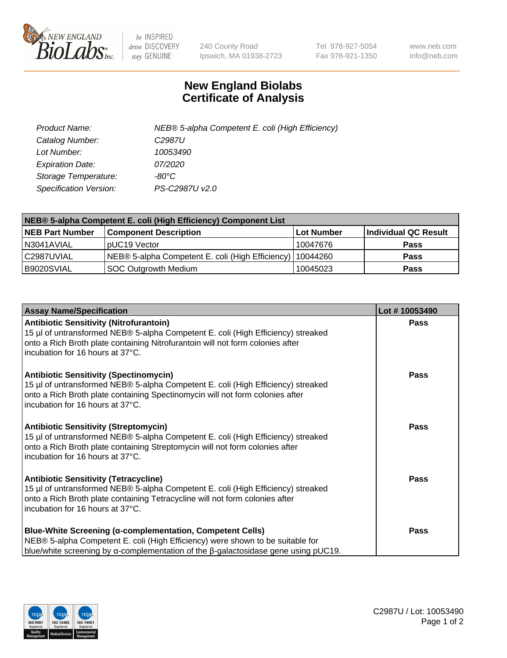

 $be$  INSPIRED drive DISCOVERY stay GENUINE

240 County Road Ipswich, MA 01938-2723 Tel 978-927-5054 Fax 978-921-1350 www.neb.com info@neb.com

## **New England Biolabs Certificate of Analysis**

| Product Name:                 | NEB® 5-alpha Competent E. coli (High Efficiency) |
|-------------------------------|--------------------------------------------------|
| Catalog Number:               | C <sub>2987</sub> U                              |
| Lot Number:                   | 10053490                                         |
| <b>Expiration Date:</b>       | <i>07/2020</i>                                   |
| Storage Temperature:          | -80°C                                            |
| <b>Specification Version:</b> | PS-C2987U v2.0                                   |

| NEB® 5-alpha Competent E. coli (High Efficiency) Component List |                                                  |                   |                      |  |
|-----------------------------------------------------------------|--------------------------------------------------|-------------------|----------------------|--|
| <b>NEB Part Number</b>                                          | <b>Component Description</b>                     | <b>Lot Number</b> | Individual QC Result |  |
| N3041AVIAL                                                      | pUC19 Vector                                     | 10047676          | <b>Pass</b>          |  |
| C2987UVIAL                                                      | NEB® 5-alpha Competent E. coli (High Efficiency) | 10044260          | <b>Pass</b>          |  |
| B9020SVIAL                                                      | SOC Outgrowth Medium                             | 10045023          | <b>Pass</b>          |  |

| <b>Assay Name/Specification</b>                                                                                                                                                                                                                          | Lot #10053490 |
|----------------------------------------------------------------------------------------------------------------------------------------------------------------------------------------------------------------------------------------------------------|---------------|
| <b>Antibiotic Sensitivity (Nitrofurantoin)</b><br>15 µl of untransformed NEB® 5-alpha Competent E. coli (High Efficiency) streaked<br>onto a Rich Broth plate containing Nitrofurantoin will not form colonies after<br>incubation for 16 hours at 37°C. | <b>Pass</b>   |
| <b>Antibiotic Sensitivity (Spectinomycin)</b><br>15 µl of untransformed NEB® 5-alpha Competent E. coli (High Efficiency) streaked<br>onto a Rich Broth plate containing Spectinomycin will not form colonies after<br>incubation for 16 hours at 37°C.   | <b>Pass</b>   |
| <b>Antibiotic Sensitivity (Streptomycin)</b><br>15 µl of untransformed NEB® 5-alpha Competent E. coli (High Efficiency) streaked<br>onto a Rich Broth plate containing Streptomycin will not form colonies after<br>incubation for 16 hours at 37°C.     | Pass          |
| <b>Antibiotic Sensitivity (Tetracycline)</b><br>15 µl of untransformed NEB® 5-alpha Competent E. coli (High Efficiency) streaked<br>onto a Rich Broth plate containing Tetracycline will not form colonies after<br>incubation for 16 hours at 37°C.     | <b>Pass</b>   |
| <b>Blue-White Screening (α-complementation, Competent Cells)</b><br>NEB® 5-alpha Competent E. coli (High Efficiency) were shown to be suitable for<br>blue/white screening by $\alpha$ -complementation of the $\beta$ -galactosidase gene using pUC19.  | Pass          |